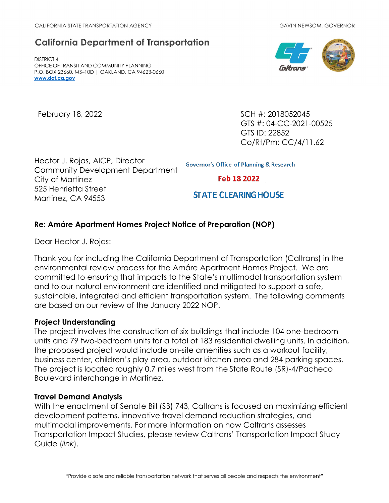# **California Department of Transportation**

DISTRICT 4 OFFICE OF TRANSIT AND COMMUNITY PLANNING P.O. BOX 23660, MS–10D | OAKLAND, CA 94623-0660 **[www.dot.ca.gov](http://www.dot.ca.gov/)**

February 18, 2022 **SCH #: 2018052045** GTS #: 04-CC-2021-00525 GTS ID: 22852 Co/Rt/Pm: CC/4/11.62

Hector J. Rojas, AICP, Director Community Development Department City of Martinez 525 Henrietta Street Martinez, CA 94553

**Governor's Office of Planning & Research** 

Feb 18 2022

**STATE CLEARING HOUSE** 

## **Re: Amáre Apartment Homes Project Notice of Preparation (NOP)**

Dear Hector J. Rojas:

Thank you for including the California Department of Transportation (Caltrans) in the environmental review process for the Amáre Apartment Homes Project. We are committed to ensuring that impacts to the State's multimodal transportation system and to our natural environment are identified and mitigated to support a safe, sustainable, integrated and efficient transportation system. The following comments are based on our review of the January 2022 NOP.

### **Project Understanding**

The project involves the construction of six buildings that include 104 one-bedroom units and 79 two-bedroom units for a total of 183 residential dwelling units. In addition, the proposed project would include on-site amenities such as a workout facility, business center, children's play area, outdoor kitchen area and 284 parking spaces. The project is located roughly 0.7 miles west from the State Route (SR)-4/Pacheco Boulevard interchange in Martinez.

### **Travel Demand Analysis**

With the enactment of Senate Bill (SB) 743, Caltrans is focused on maximizing efficient development patterns, innovative travel demand reduction strategies, and multimodal improvements. For more information on how Caltrans assesses Transportation Impact Studies, please review Caltrans' [Transportation Impact Study](https://dot.ca.gov/-/media/dot-media/programs/transportation-planning/documents/sb-743/2020-05-20-approved-vmt-focused-tisg-a11y.pdf)  [Guide \(](https://dot.ca.gov/-/media/dot-media/programs/transportation-planning/documents/sb-743/2020-05-20-approved-vmt-focused-tisg-a11y.pdf)*[link](https://dot.ca.gov/-/media/dot-media/programs/transportation-planning/documents/sb-743/2020-05-20-approved-vmt-focused-tisg-a11y.pdf)*[\).](https://dot.ca.gov/-/media/dot-media/programs/transportation-planning/documents/sb-743/2020-05-20-approved-vmt-focused-tisg-a11y.pdf)

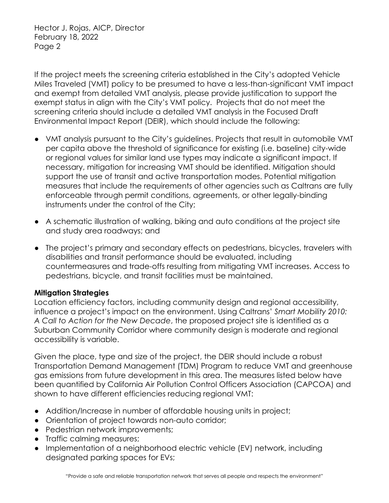If the project meets the screening criteria established in the City's adopted Vehicle Miles Traveled (VMT) policy to be presumed to have a less-than-significant VMT impact and exempt from detailed VMT analysis, please provide justification to support the exempt status in align with the City's VMT policy. Projects that do not meet the screening criteria should include a detailed VMT analysis in the Focused Draft Environmental Impact Report (DEIR), which should include the following:

- VMT analysis pursuant to the City's guidelines. Projects that result in automobile VMT per capita above the threshold of significance for existing (i.e. baseline) city-wide or regional values for similar land use types may indicate a significant impact. If necessary, mitigation for increasing VMT should be identified. Mitigation should support the use of transit and active transportation modes. Potential mitigation measures that include the requirements of other agencies such as Caltrans are fully enforceable through permit conditions, agreements, or other legally-binding instruments under the control of the City;
- A schematic illustration of walking, biking and auto conditions at the project site and study area roadways; and
- The project's primary and secondary effects on pedestrians, bicycles, travelers with disabilities and transit performance should be evaluated, including countermeasures and trade-offs resulting from mitigating VMT increases. Access to pedestrians, bicycle, and transit facilities must be maintained.

## **Mitigation Strategies**

Location efficiency factors, including community design and regional accessibility, influence a project's impact on the environment. Using Caltrans' *Smart Mobility 2010: A Call to Action for the New Decade*, the proposed project site is identified as a Suburban Community Corridor where community design is moderate and regional accessibility is variable.

Given the place, type and size of the project, the DEIR should include a robust Transportation Demand Management (TDM) Program to reduce VMT and greenhouse gas emissions from future development in this area. The measures listed below have been quantified by California Air Pollution Control Officers Association (CAPCOA) and shown to have different efficiencies reducing regional VMT:

- Addition/Increase in number of affordable housing units in project;
- Orientation of project towards non-auto corridor;
- Pedestrian network improvements;
- Traffic calming measures;
- Implementation of a neighborhood electric vehicle (EV) network, including designated parking spaces for EVs;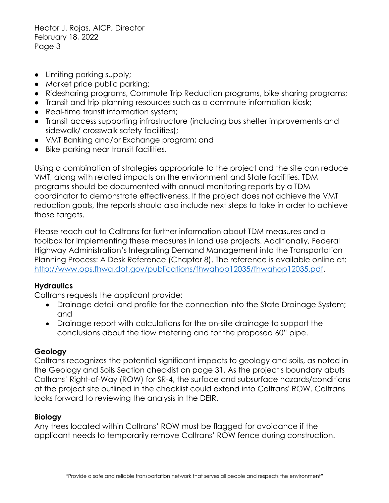- Limiting parking supply;
- Market price public parking;
- Ridesharing programs, Commute Trip Reduction programs, bike sharing programs;
- Transit and trip planning resources such as a commute information kiosk;
- Real-time transit information system;
- Transit access supporting infrastructure (including bus shelter improvements and sidewalk/ crosswalk safety facilities);
- VMT Banking and/or Exchange program; and
- Bike parking near transit facilities.

Using a combination of strategies appropriate to the project and the site can reduce VMT, along with related impacts on the environment and State facilities. TDM programs should be documented with annual monitoring reports by a TDM coordinator to demonstrate effectiveness. If the project does not achieve the VMT reduction goals, the reports should also include next steps to take in order to achieve those targets.

Please reach out to Caltrans for further information about TDM measures and a toolbox for implementing these measures in land use projects. Additionally, Federal Highway Administration's Integrating Demand Management into the Transportation Planning Process: A Desk Reference (Chapter 8). The reference is available online at: http://www.ops.fhwa.dot.gov/publications/fhwahop12035/fhwahop12035.pdf.

## **Hydraulics**

Caltrans requests the applicant provide:

- Drainage detail and profile for the connection into the State Drainage System; and
- Drainage report with calculations for the on-site drainage to support the conclusions about the flow metering and for the proposed 60" pipe.

### **Geology**

Caltrans recognizes the potential significant impacts to geology and soils, as noted in the Geology and Soils Section checklist on page 31. As the project's boundary abuts Caltrans' Right-of-Way (ROW) for SR-4, the surface and subsurface hazards/conditions at the project site outlined in the checklist could extend into Caltrans' ROW. Caltrans looks forward to reviewing the analysis in the DEIR.

## **Biology**

Any trees located within Caltrans' ROW must be flagged for avoidance if the applicant needs to temporarily remove Caltrans' ROW fence during construction.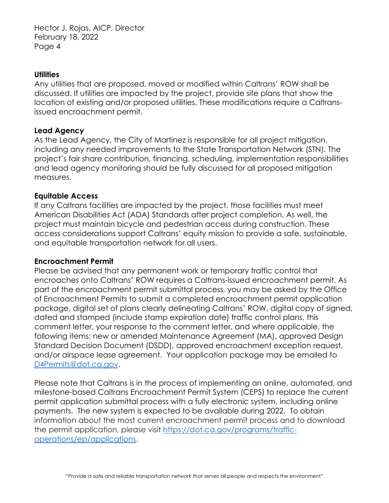#### **Utilities**

Any utilities that are proposed, moved or modified within Caltrans' ROW shall be discussed. If utilities are impacted by the project, provide site plans that show the location of existing and/or proposed utilities. These modifications require a Caltransissued encroachment permit.

### **Lead Agency**

As the Lead Agency, the City of Martinez is responsible for all project mitigation, including any needed improvements to the State Transportation Network (STN). The project's fair share contribution, financing, scheduling, implementation responsibilities and lead agency monitoring should be fully discussed for all proposed mitigation measures.

#### **Equitable Access**

If any Caltrans facilities are impacted by the project, those facilities must meet American Disabilities Act (ADA) Standards after project completion. As well, the project must maintain bicycle and pedestrian access during construction. These access considerations support Caltrans' equity mission to provide a safe, sustainable, and equitable transportation network for all users.

#### **Encroachment Permit**

Please be advised that any permanent work or temporary traffic control that encroaches onto Caltrans' ROW requires a Caltrans-issued encroachment permit. As part of the encroachment permit submittal process, you may be asked by the Office of Encroachment Permits to submit a completed encroachment permit application package, digital set of plans clearly delineating Caltrans' ROW, digital copy of signed, dated and stamped (include stamp expiration date) traffic control plans, this comment letter, your response to the comment letter, and where applicable, the following items: new or amended Maintenance Agreement (MA), approved Design Standard Decision Document (DSDD), approved encroachment exception request, and/or airspace lease agreement. Your application package may be emailed to [D4Permits@dot.ca.gov.](mailto:D4Permits@dot.ca.gov)

Please note that Caltrans is in the process of implementing an online, automated, and milestone-based Caltrans Encroachment Permit System (CEPS) to replace the current permit application submittal process with a fully electronic system, including online payments. The new system is expected to be available during 2022. To obtain information about the most current encroachment permit process and to download the permit application, please visit [https://dot.ca.gov/programs/traffic](https://dot.ca.gov/programs/traffic-operations/ep/applications)[operations/ep/applications.](https://dot.ca.gov/programs/traffic-operations/ep/applications)